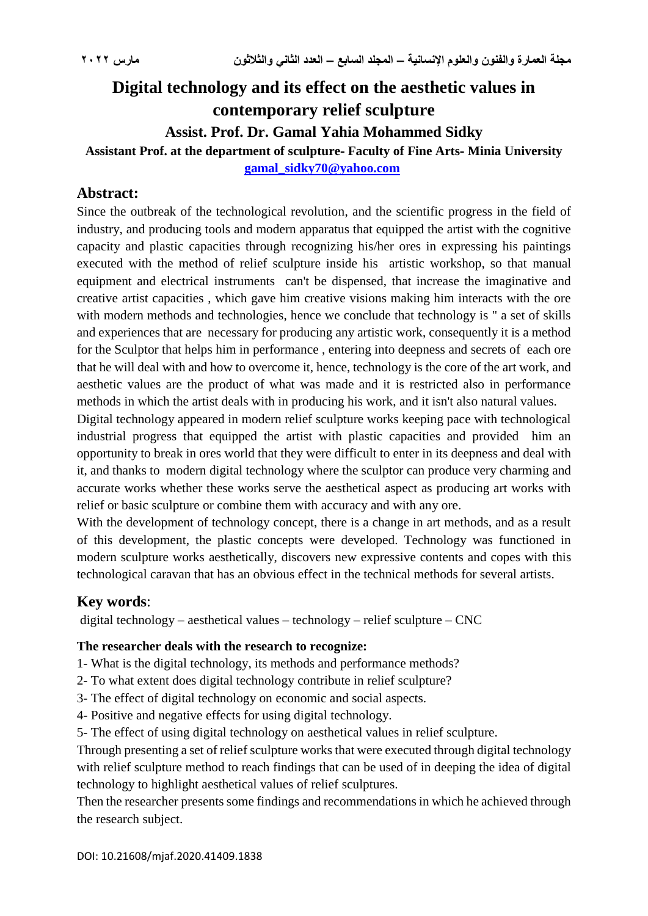# **Digital technology and its effect on the aesthetic values in contemporary relief sculpture**

**Assist. Prof. Dr. Gamal Yahia Mohammed Sidky**

# **Assistant Prof. at the department of sculpture- Faculty of Fine Arts- Minia University**

**[gamal\\_sidky70@yahoo.com](mailto:gamal_sidky70@yahoo.com)**

# **Abstract:**

Since the outbreak of the technological revolution, and the scientific progress in the field of industry, and producing tools and modern apparatus that equipped the artist with the cognitive capacity and plastic capacities through recognizing his/her ores in expressing his paintings executed with the method of relief sculpture inside his artistic workshop, so that manual equipment and electrical instruments can't be dispensed, that increase the imaginative and creative artist capacities , which gave him creative visions making him interacts with the ore with modern methods and technologies, hence we conclude that technology is " a set of skills and experiences that are necessary for producing any artistic work, consequently it is a method for the Sculptor that helps him in performance , entering into deepness and secrets of each ore that he will deal with and how to overcome it, hence, technology is the core of the art work, and aesthetic values are the product of what was made and it is restricted also in performance methods in which the artist deals with in producing his work, and it isn't also natural values.

Digital technology appeared in modern relief sculpture works keeping pace with technological industrial progress that equipped the artist with plastic capacities and provided him an opportunity to break in ores world that they were difficult to enter in its deepness and deal with it, and thanks to modern digital technology where the sculptor can produce very charming and accurate works whether these works serve the aesthetical aspect as producing art works with relief or basic sculpture or combine them with accuracy and with any ore.

With the development of technology concept, there is a change in art methods, and as a result of this development, the plastic concepts were developed. Technology was functioned in modern sculpture works aesthetically, discovers new expressive contents and copes with this technological caravan that has an obvious effect in the technical methods for several artists.

# **Key words**:

digital technology – aesthetical values – technology – relief sculpture – CNC

#### **The researcher deals with the research to recognize:**

- 1- What is the digital technology, its methods and performance methods?
- 2- To what extent does digital technology contribute in relief sculpture?
- 3- The effect of digital technology on economic and social aspects.
- 4- Positive and negative effects for using digital technology.
- 5- The effect of using digital technology on aesthetical values in relief sculpture.

Through presenting a set of relief sculpture works that were executed through digital technology with relief sculpture method to reach findings that can be used of in deeping the idea of digital technology to highlight aesthetical values of relief sculptures.

Then the researcher presents some findings and recommendations in which he achieved through the research subject.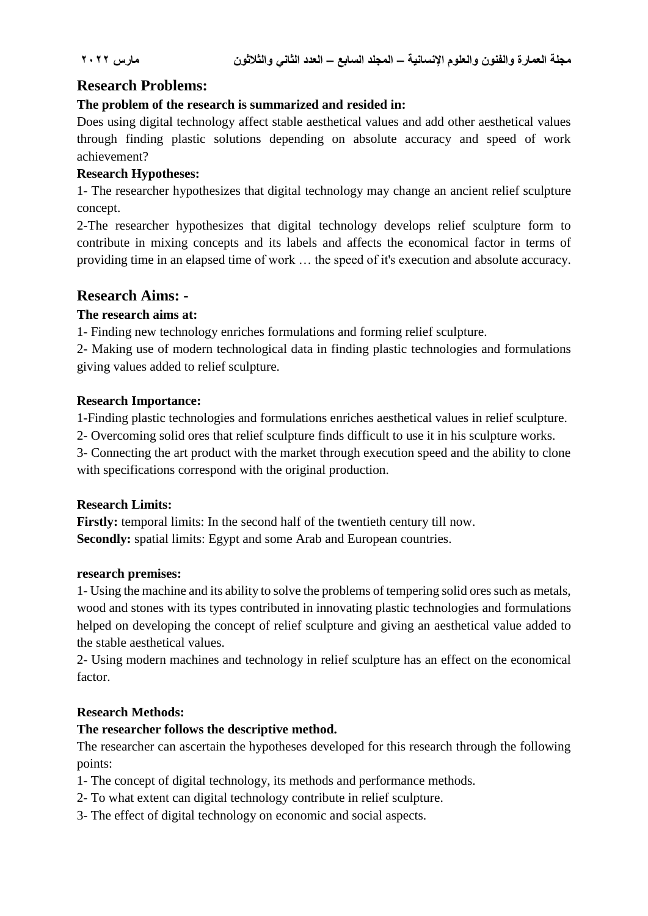# **Research Problems:**

### **The problem of the research is summarized and resided in:**

Does using digital technology affect stable aesthetical values and add other aesthetical values through finding plastic solutions depending on absolute accuracy and speed of work achievement?

#### **Research Hypotheses:**

1- The researcher hypothesizes that digital technology may change an ancient relief sculpture concept.

2-The researcher hypothesizes that digital technology develops relief sculpture form to contribute in mixing concepts and its labels and affects the economical factor in terms of providing time in an elapsed time of work … the speed of it's execution and absolute accuracy.

# **Research Aims: -**

#### **The research aims at:**

1- Finding new technology enriches formulations and forming relief sculpture.

2- Making use of modern technological data in finding plastic technologies and formulations giving values added to relief sculpture.

#### **Research Importance:**

1-Finding plastic technologies and formulations enriches aesthetical values in relief sculpture.

2- Overcoming solid ores that relief sculpture finds difficult to use it in his sculpture works.

3- Connecting the art product with the market through execution speed and the ability to clone with specifications correspond with the original production.

## **Research Limits:**

**Firstly:** temporal limits: In the second half of the twentieth century till now. **Secondly:** spatial limits: Egypt and some Arab and European countries.

#### **research premises:**

1- Using the machine and its ability to solve the problems of tempering solid ores such as metals, wood and stones with its types contributed in innovating plastic technologies and formulations helped on developing the concept of relief sculpture and giving an aesthetical value added to the stable aesthetical values.

2- Using modern machines and technology in relief sculpture has an effect on the economical factor.

## **Research Methods:**

## **The researcher follows the descriptive method.**

The researcher can ascertain the hypotheses developed for this research through the following points:

- 1- The concept of digital technology, its methods and performance methods.
- 2- To what extent can digital technology contribute in relief sculpture.
- 3- The effect of digital technology on economic and social aspects.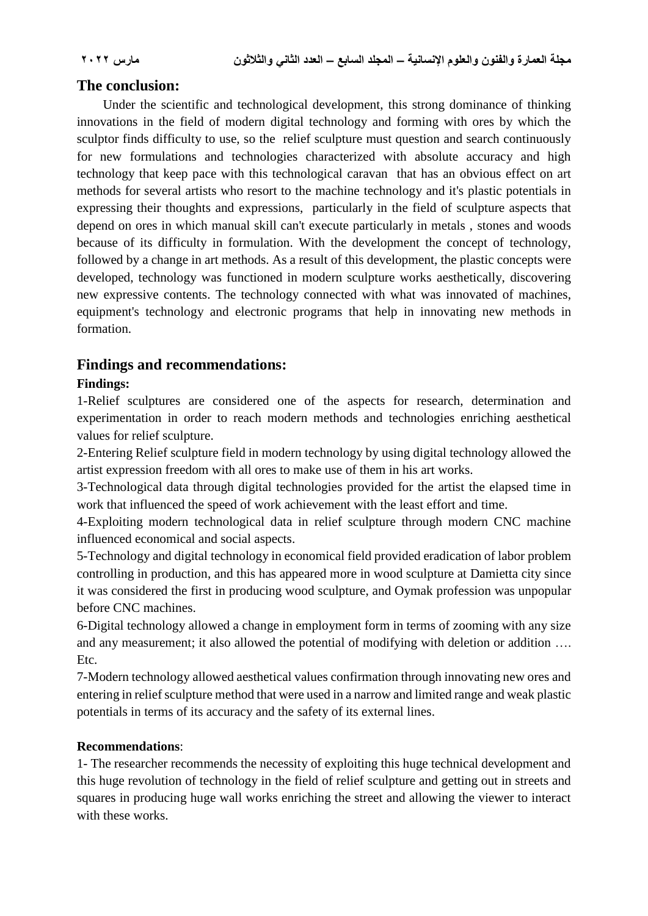# **The conclusion:**

 Under the scientific and technological development, this strong dominance of thinking innovations in the field of modern digital technology and forming with ores by which the sculptor finds difficulty to use, so the relief sculpture must question and search continuously for new formulations and technologies characterized with absolute accuracy and high technology that keep pace with this technological caravan that has an obvious effect on art methods for several artists who resort to the machine technology and it's plastic potentials in expressing their thoughts and expressions, particularly in the field of sculpture aspects that depend on ores in which manual skill can't execute particularly in metals , stones and woods because of its difficulty in formulation. With the development the concept of technology, followed by a change in art methods. As a result of this development, the plastic concepts were developed, technology was functioned in modern sculpture works aesthetically, discovering new expressive contents. The technology connected with what was innovated of machines, equipment's technology and electronic programs that help in innovating new methods in formation.

# **Findings and recommendations:**

#### **Findings:**

1-Relief sculptures are considered one of the aspects for research, determination and experimentation in order to reach modern methods and technologies enriching aesthetical values for relief sculpture.

2-Entering Relief sculpture field in modern technology by using digital technology allowed the artist expression freedom with all ores to make use of them in his art works.

3-Technological data through digital technologies provided for the artist the elapsed time in work that influenced the speed of work achievement with the least effort and time.

4-Exploiting modern technological data in relief sculpture through modern CNC machine influenced economical and social aspects.

5-Technology and digital technology in economical field provided eradication of labor problem controlling in production, and this has appeared more in wood sculpture at Damietta city since it was considered the first in producing wood sculpture, and Oymak profession was unpopular before CNC machines.

6-Digital technology allowed a change in employment form in terms of zooming with any size and any measurement; it also allowed the potential of modifying with deletion or addition …. Etc.

7-Modern technology allowed aesthetical values confirmation through innovating new ores and entering in relief sculpture method that were used in a narrow and limited range and weak plastic potentials in terms of its accuracy and the safety of its external lines.

#### **Recommendations**:

1- The researcher recommends the necessity of exploiting this huge technical development and this huge revolution of technology in the field of relief sculpture and getting out in streets and squares in producing huge wall works enriching the street and allowing the viewer to interact with these works.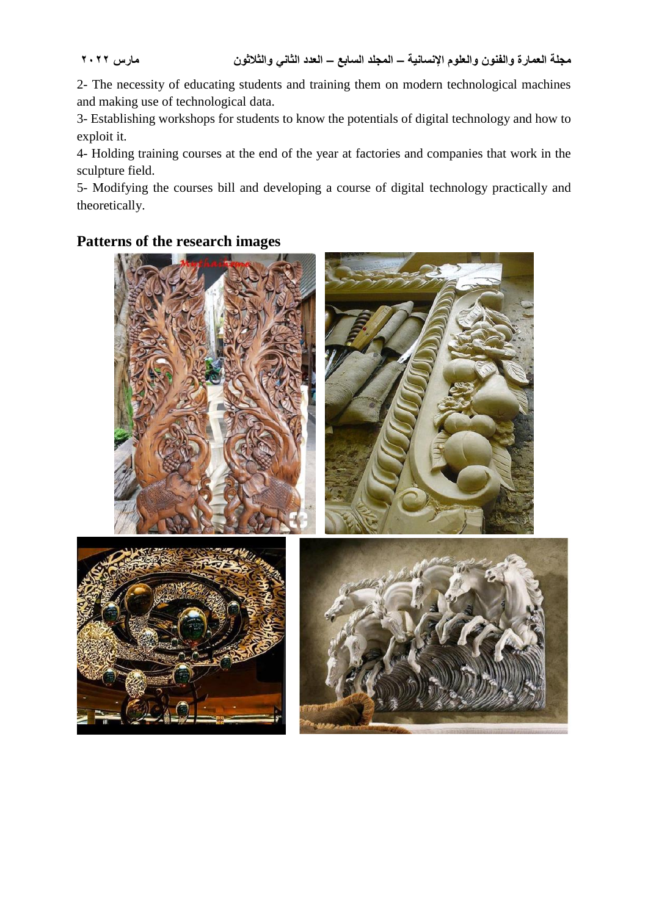2- The necessity of educating students and training them on modern technological machines and making use of technological data.

3- Establishing workshops for students to know the potentials of digital technology and how to exploit it.

4- Holding training courses at the end of the year at factories and companies that work in the sculpture field.

5- Modifying the courses bill and developing a course of digital technology practically and theoretically.

# **Patterns of the research images**

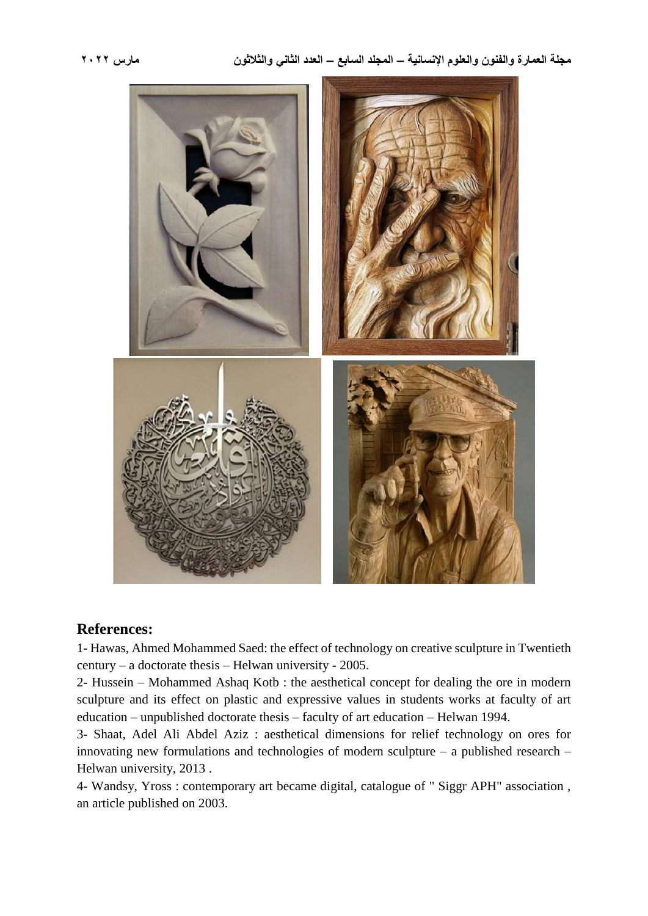

#### **References:**

1- Hawas, Ahmed Mohammed Saed: the effect of technology on creative sculpture in Twentieth century – a doctorate thesis – Helwan university - 2005.

2- Hussein – Mohammed Ashaq Kotb : the aesthetical concept for dealing the ore in modern sculpture and its effect on plastic and expressive values in students works at faculty of art education – unpublished doctorate thesis – faculty of art education – Helwan 1994.

3- Shaat, Adel Ali Abdel Aziz : aesthetical dimensions for relief technology on ores for innovating new formulations and technologies of modern sculpture – a published research – Helwan university, 2013 .

4- Wandsy, Yross : contemporary art became digital, catalogue of " Siggr APH" association , an article published on 2003.